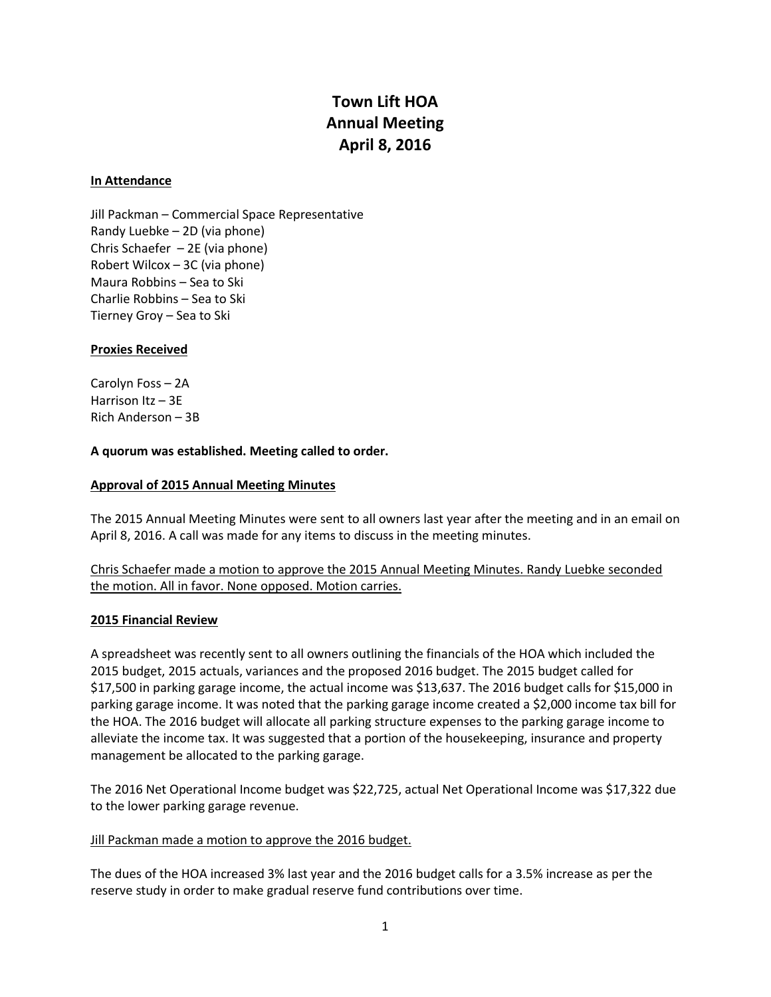# **Town Lift HOA Annual Meeting April 8, 2016**

#### **In Attendance**

Jill Packman – Commercial Space Representative Randy Luebke – 2D (via phone) Chris Schaefer – 2E (via phone) Robert Wilcox – 3C (via phone) Maura Robbins – Sea to Ski Charlie Robbins – Sea to Ski Tierney Groy – Sea to Ski

## **Proxies Received**

Carolyn Foss – 2A Harrison Itz – 3E Rich Anderson – 3B

## **A quorum was established. Meeting called to order.**

## **Approval of 2015 Annual Meeting Minutes**

The 2015 Annual Meeting Minutes were sent to all owners last year after the meeting and in an email on April 8, 2016. A call was made for any items to discuss in the meeting minutes.

Chris Schaefer made a motion to approve the 2015 Annual Meeting Minutes. Randy Luebke seconded the motion. All in favor. None opposed. Motion carries.

#### **2015 Financial Review**

A spreadsheet was recently sent to all owners outlining the financials of the HOA which included the 2015 budget, 2015 actuals, variances and the proposed 2016 budget. The 2015 budget called for \$17,500 in parking garage income, the actual income was \$13,637. The 2016 budget calls for \$15,000 in parking garage income. It was noted that the parking garage income created a \$2,000 income tax bill for the HOA. The 2016 budget will allocate all parking structure expenses to the parking garage income to alleviate the income tax. It was suggested that a portion of the housekeeping, insurance and property management be allocated to the parking garage.

The 2016 Net Operational Income budget was \$22,725, actual Net Operational Income was \$17,322 due to the lower parking garage revenue.

#### Jill Packman made a motion to approve the 2016 budget.

The dues of the HOA increased 3% last year and the 2016 budget calls for a 3.5% increase as per the reserve study in order to make gradual reserve fund contributions over time.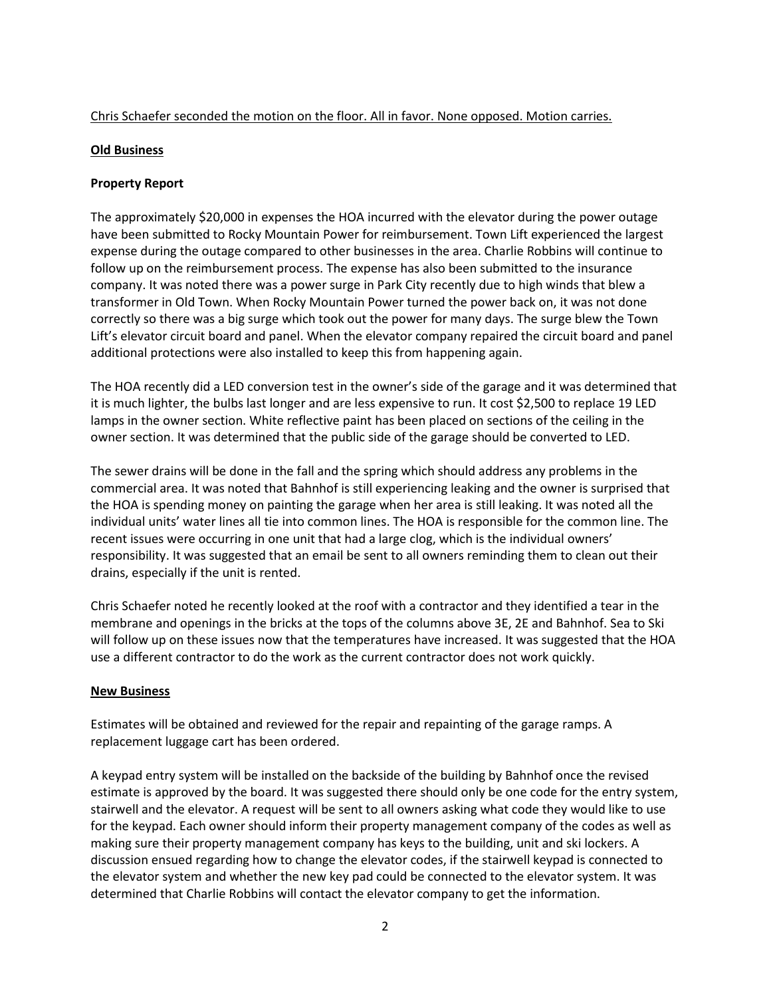## Chris Schaefer seconded the motion on the floor. All in favor. None opposed. Motion carries.

## **Old Business**

## **Property Report**

The approximately \$20,000 in expenses the HOA incurred with the elevator during the power outage have been submitted to Rocky Mountain Power for reimbursement. Town Lift experienced the largest expense during the outage compared to other businesses in the area. Charlie Robbins will continue to follow up on the reimbursement process. The expense has also been submitted to the insurance company. It was noted there was a power surge in Park City recently due to high winds that blew a transformer in Old Town. When Rocky Mountain Power turned the power back on, it was not done correctly so there was a big surge which took out the power for many days. The surge blew the Town Lift's elevator circuit board and panel. When the elevator company repaired the circuit board and panel additional protections were also installed to keep this from happening again.

The HOA recently did a LED conversion test in the owner's side of the garage and it was determined that it is much lighter, the bulbs last longer and are less expensive to run. It cost \$2,500 to replace 19 LED lamps in the owner section. White reflective paint has been placed on sections of the ceiling in the owner section. It was determined that the public side of the garage should be converted to LED.

The sewer drains will be done in the fall and the spring which should address any problems in the commercial area. It was noted that Bahnhof is still experiencing leaking and the owner is surprised that the HOA is spending money on painting the garage when her area is still leaking. It was noted all the individual units' water lines all tie into common lines. The HOA is responsible for the common line. The recent issues were occurring in one unit that had a large clog, which is the individual owners' responsibility. It was suggested that an email be sent to all owners reminding them to clean out their drains, especially if the unit is rented.

Chris Schaefer noted he recently looked at the roof with a contractor and they identified a tear in the membrane and openings in the bricks at the tops of the columns above 3E, 2E and Bahnhof. Sea to Ski will follow up on these issues now that the temperatures have increased. It was suggested that the HOA use a different contractor to do the work as the current contractor does not work quickly.

#### **New Business**

Estimates will be obtained and reviewed for the repair and repainting of the garage ramps. A replacement luggage cart has been ordered.

A keypad entry system will be installed on the backside of the building by Bahnhof once the revised estimate is approved by the board. It was suggested there should only be one code for the entry system, stairwell and the elevator. A request will be sent to all owners asking what code they would like to use for the keypad. Each owner should inform their property management company of the codes as well as making sure their property management company has keys to the building, unit and ski lockers. A discussion ensued regarding how to change the elevator codes, if the stairwell keypad is connected to the elevator system and whether the new key pad could be connected to the elevator system. It was determined that Charlie Robbins will contact the elevator company to get the information.